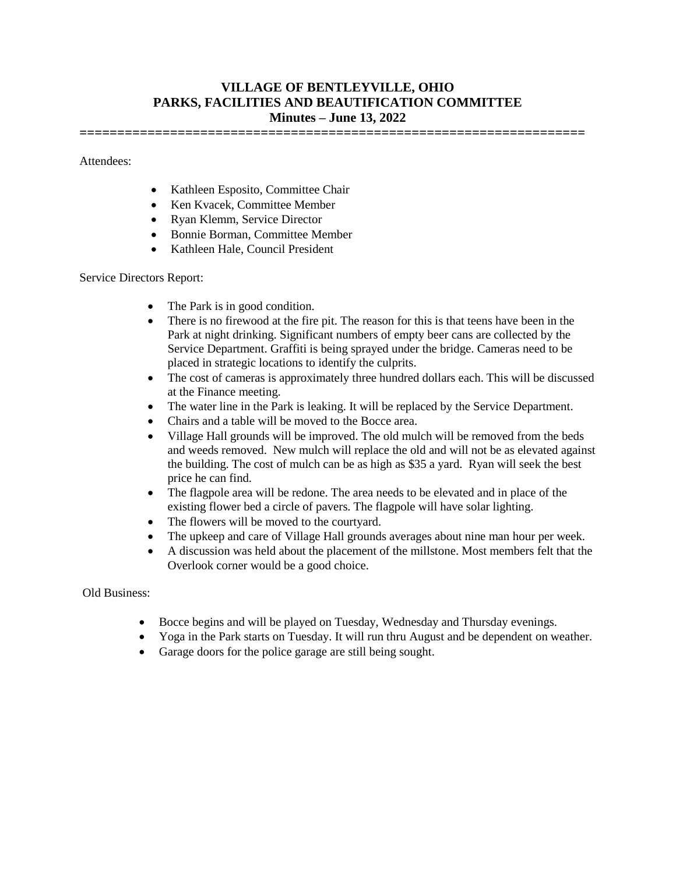## **VILLAGE OF BENTLEYVILLE, OHIO PARKS, FACILITIES AND BEAUTIFICATION COMMITTEE Minutes – June 13, 2022**

**===================================================================**

Attendees:

- Kathleen Esposito, Committee Chair
- Ken Kvacek, Committee Member
- Ryan Klemm, Service Director
- Bonnie Borman, Committee Member
- Kathleen Hale, Council President

Service Directors Report:

- The Park is in good condition.
- There is no firewood at the fire pit. The reason for this is that teens have been in the Park at night drinking. Significant numbers of empty beer cans are collected by the Service Department. Graffiti is being sprayed under the bridge. Cameras need to be placed in strategic locations to identify the culprits.
- The cost of cameras is approximately three hundred dollars each. This will be discussed at the Finance meeting.
- The water line in the Park is leaking. It will be replaced by the Service Department.
- Chairs and a table will be moved to the Bocce area.
- Village Hall grounds will be improved. The old mulch will be removed from the beds and weeds removed. New mulch will replace the old and will not be as elevated against the building. The cost of mulch can be as high as \$35 a yard. Ryan will seek the best price he can find.
- The flagpole area will be redone. The area needs to be elevated and in place of the existing flower bed a circle of pavers. The flagpole will have solar lighting.
- The flowers will be moved to the courtyard.
- The upkeep and care of Village Hall grounds averages about nine man hour per week.
- A discussion was held about the placement of the millstone. Most members felt that the Overlook corner would be a good choice.

Old Business:

- Bocce begins and will be played on Tuesday, Wednesday and Thursday evenings.
- Yoga in the Park starts on Tuesday. It will run thru August and be dependent on weather.
- Garage doors for the police garage are still being sought.